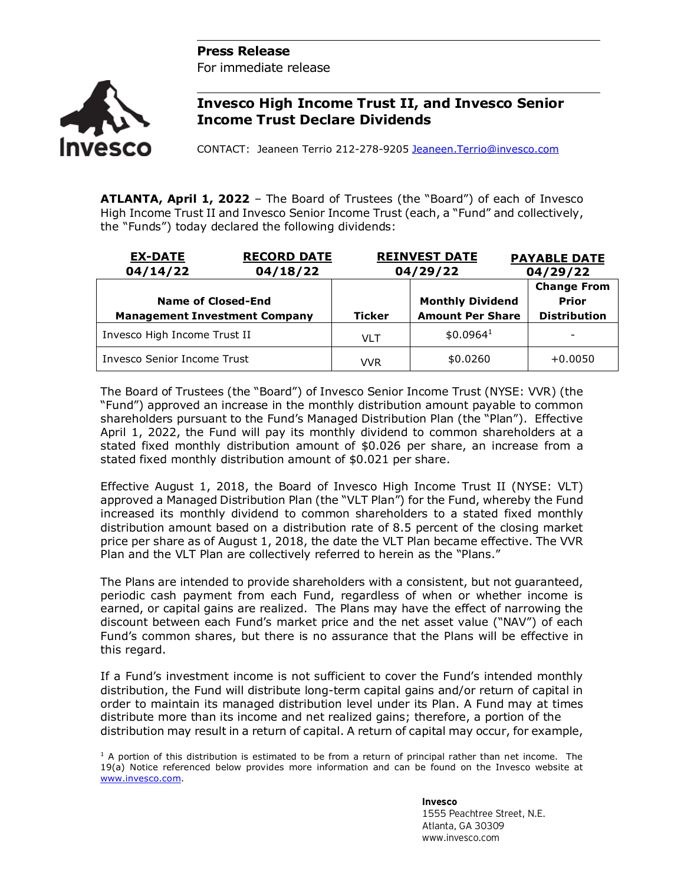## **Press Release**

For immediate release



## **Invesco High Income Trust II, and Invesco Senior Income Trust Declare Dividends**

CONTACT: Jeaneen Terrio 212-278-9205 [Jeaneen.Terrio@invesco.com](mailto:Jeaneen.Terrio@invesco.com) 

**ATLANTA, April 1, 2022** – The Board of Trustees (the "Board") of each of Invesco High Income Trust II and Invesco Senior Income Trust (each, a "Fund" and collectively, the "Funds") today declared the following dividends:

| <b>EX-DATE</b><br><b>RECORD DATE</b><br>04/14/22<br>04/18/22 |               | <b>REINVEST DATE</b><br>04/29/22                   | <b>PAYABLE DATE</b><br>04/29/22                    |
|--------------------------------------------------------------|---------------|----------------------------------------------------|----------------------------------------------------|
| Name of Closed-End<br><b>Management Investment Company</b>   | <b>Ticker</b> | <b>Monthly Dividend</b><br><b>Amount Per Share</b> | <b>Change From</b><br>Prior<br><b>Distribution</b> |
| Invesco High Income Trust II                                 | <b>VLT</b>    | \$0.0964 <sup>1</sup>                              | $\overline{\phantom{a}}$                           |
| Invesco Senior Income Trust                                  | VVR           | \$0.0260                                           | $+0.0050$                                          |

The Board of Trustees (the "Board") of Invesco Senior Income Trust (NYSE: VVR) (the "Fund") approved an increase in the monthly distribution amount payable to common shareholders pursuant to the Fund's Managed Distribution Plan (the "Plan"). Effective April 1, 2022, the Fund will pay its monthly dividend to common shareholders at a stated fixed monthly distribution amount of \$0.026 per share, an increase from a stated fixed monthly distribution amount of \$0.021 per share.

Effective August 1, 2018, the Board of Invesco High Income Trust II (NYSE: VLT) approved a Managed Distribution Plan (the "VLT Plan") for the Fund, whereby the Fund increased its monthly dividend to common shareholders to a stated fixed monthly distribution amount based on a distribution rate of 8.5 percent of the closing market price per share as of August 1, 2018, the date the VLT Plan became effective. The VVR Plan and the VLT Plan are collectively referred to herein as the "Plans."

The Plans are intended to provide shareholders with a consistent, but not guaranteed, periodic cash payment from each Fund, regardless of when or whether income is earned, or capital gains are realized. The Plans may have the effect of narrowing the discount between each Fund's market price and the net asset value ("NAV") of each Fund's common shares, but there is no assurance that the Plans will be effective in this regard.

If a Fund's investment income is not sufficient to cover the Fund's intended monthly distribution, the Fund will distribute long-term capital gains and/or return of capital in order to maintain its managed distribution level under its Plan. A Fund may at times distribute more than its income and net realized gains; therefore, a portion of the distribution may result in a return of capital. A return of capital may occur, for example,

 $1$  A portion of this distribution is estimated to be from a return of principal rather than net income. The 19(a) Notice referenced below provides more information and can be found on the Invesco website at [www.invesco.com.](http://www.invesco.com/)

> **Invesco** 1555 Peachtree Street, N.E. Atlanta, GA 30309 www.invesco.com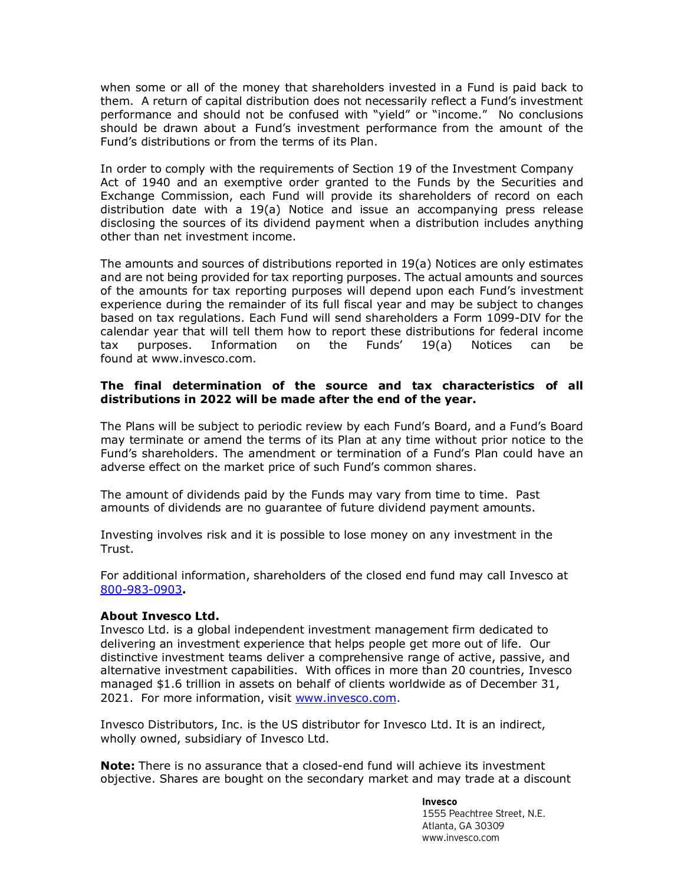when some or all of the money that shareholders invested in a Fund is paid back to them. A return of capital distribution does not necessarily reflect a Fund's investment performance and should not be confused with "yield" or "income." No conclusions should be drawn about a Fund's investment performance from the amount of the Fund's distributions or from the terms of its Plan.

In order to comply with the requirements of Section 19 of the Investment Company Act of 1940 and an exemptive order granted to the Funds by the Securities and Exchange Commission, each Fund will provide its shareholders of record on each distribution date with a 19(a) Notice and issue an accompanying press release disclosing the sources of its dividend payment when a distribution includes anything other than net investment income.

The amounts and sources of distributions reported in 19(a) Notices are only estimates and are not being provided for tax reporting purposes. The actual amounts and sources of the amounts for tax reporting purposes will depend upon each Fund's investment experience during the remainder of its full fiscal year and may be subject to changes based on tax regulations. Each Fund will send shareholders a Form 1099-DIV for the calendar year that will tell them how to report these distributions for federal income tax purposes. Information on the Funds' 19(a) Notices can be found at www.invesco.com.

## **The final determination of the source and tax characteristics of all distributions in 2022 will be made after the end of the year.**

The Plans will be subject to periodic review by each Fund's Board, and a Fund's Board may terminate or amend the terms of its Plan at any time without prior notice to the Fund's shareholders. The amendment or termination of a Fund's Plan could have an adverse effect on the market price of such Fund's common shares.

The amount of dividends paid by the Funds may vary from time to time. Past amounts of dividends are no guarantee of future dividend payment amounts.

Investing involves risk and it is possible to lose money on any investment in the Trust.

For additional information, shareholders of the closed end fund may call Invesco at 800-983-0903**.**

## **About Invesco Ltd.**

Invesco Ltd. is a global independent investment management firm dedicated to delivering an investment experience that helps people get more out of life. Our distinctive investment teams deliver a comprehensive range of active, passive, and alternative investment capabilities. With offices in more than 20 countries, Invesco managed \$1.6 trillion in assets on behalf of clients worldwide as of December 31, 2021. For more information, visit [www.invesco.com.](http://www.invesco.com/)

Invesco Distributors, Inc. is the US distributor for Invesco Ltd. It is an indirect, wholly owned, subsidiary of Invesco Ltd.

**Note:** There is no assurance that a closed-end fund will achieve its investment objective. Shares are bought on the secondary market and may trade at a discount

**Invesco**

1555 Peachtree Street, N.E. Atlanta, GA 30309 www.invesco.com